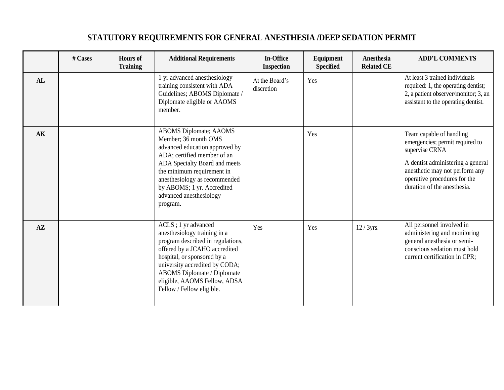|               | # Cases | <b>Hours</b> of<br><b>Training</b> | <b>Additional Requirements</b>                                                                                                                                                                                                                                                              | <b>In-Office</b><br><b>Inspection</b> | <b>Equipment</b><br><b>Specified</b> | <b>Anesthesia</b><br><b>Related CE</b> | <b>ADD'L COMMENTS</b>                                                                                                                                                                                               |
|---------------|---------|------------------------------------|---------------------------------------------------------------------------------------------------------------------------------------------------------------------------------------------------------------------------------------------------------------------------------------------|---------------------------------------|--------------------------------------|----------------------------------------|---------------------------------------------------------------------------------------------------------------------------------------------------------------------------------------------------------------------|
| AL            |         |                                    | 1 yr advanced anesthesiology<br>training consistent with ADA<br>Guidelines; ABOMS Diplomate /<br>Diplomate eligible or AAOMS<br>member.                                                                                                                                                     | At the Board's<br>discretion          | Yes                                  |                                        | At least 3 trained individuals<br>required: 1, the operating dentist;<br>2, a patient observer/monitor; 3, an<br>assistant to the operating dentist.                                                                |
| AK            |         |                                    | <b>ABOMS</b> Diplomate; AAOMS<br>Member; 36 month OMS<br>advanced education approved by<br>ADA; certified member of an<br>ADA Specialty Board and meets<br>the minimum requirement in<br>anesthesiology as recommended<br>by ABOMS; 1 yr. Accredited<br>advanced anesthesiology<br>program. |                                       | Yes                                  |                                        | Team capable of handling<br>emergencies; permit required to<br>supervise CRNA<br>A dentist administering a general<br>anesthetic may not perform any<br>operative procedures for the<br>duration of the anesthesia. |
| $A\mathbf{Z}$ |         |                                    | ACLS ; 1 yr advanced<br>anesthesiology training in a<br>program described in regulations,<br>offered by a JCAHO accredited<br>hospital, or sponsored by a<br>university accredited by CODA;<br>ABOMS Diplomate / Diplomate<br>eligible, AAOMS Fellow, ADSA<br>Fellow / Fellow eligible.     | Yes                                   | Yes                                  | $12/3yrs$ .                            | All personnel involved in<br>administering and monitoring<br>general anesthesia or semi-<br>conscious sedation must hold<br>current certification in CPR;                                                           |

## **STATUTORY REQUIREMENTS FOR GENERAL ANESTHESIA /DEEP SEDATION PERMIT**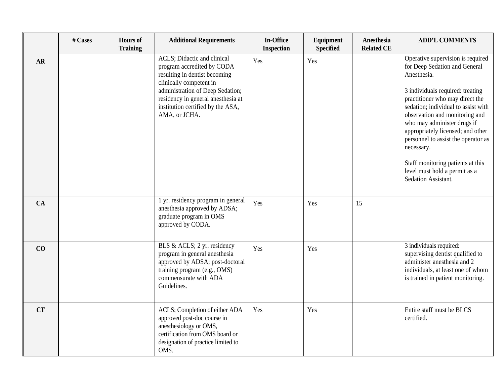|           | # Cases | <b>Hours</b> of<br><b>Training</b> | <b>Additional Requirements</b>                                                                                                                                                                                                                        | <b>In-Office</b><br><b>Inspection</b> | Equipment<br><b>Specified</b> | Anesthesia<br><b>Related CE</b> | <b>ADD'L COMMENTS</b>                                                                                                                                                                                                                                                                                                                                                                                                                                   |
|-----------|---------|------------------------------------|-------------------------------------------------------------------------------------------------------------------------------------------------------------------------------------------------------------------------------------------------------|---------------------------------------|-------------------------------|---------------------------------|---------------------------------------------------------------------------------------------------------------------------------------------------------------------------------------------------------------------------------------------------------------------------------------------------------------------------------------------------------------------------------------------------------------------------------------------------------|
| AR        |         |                                    | ACLS; Didactic and clinical<br>program accredited by CODA<br>resulting in dentist becoming<br>clinically competent in<br>administration of Deep Sedation;<br>residency in general anesthesia at<br>institution certified by the ASA,<br>AMA, or JCHA. | Yes                                   | Yes                           |                                 | Operative supervision is required<br>for Deep Sedation and General<br>Anesthesia.<br>3 individuals required: treating<br>practitioner who may direct the<br>sedation; individual to assist with<br>observation and monitoring and<br>who may administer drugs if<br>appropriately licensed; and other<br>personnel to assist the operator as<br>necessary.<br>Staff monitoring patients at this<br>level must hold a permit as a<br>Sedation Assistant. |
| CA        |         |                                    | 1 yr. residency program in general<br>anesthesia approved by ADSA;<br>graduate program in OMS<br>approved by CODA.                                                                                                                                    | Yes                                   | Yes                           | 15                              |                                                                                                                                                                                                                                                                                                                                                                                                                                                         |
| CO        |         |                                    | BLS & ACLS; 2 yr. residency<br>program in general anesthesia<br>approved by ADSA; post-doctoral<br>training program (e.g., OMS)<br>commensurate with ADA<br>Guidelines.                                                                               | Yes                                   | Yes                           |                                 | 3 individuals required:<br>supervising dentist qualified to<br>administer anesthesia and 2<br>individuals, at least one of whom<br>is trained in patient monitoring.                                                                                                                                                                                                                                                                                    |
| <b>CT</b> |         |                                    | ACLS; Completion of either ADA<br>approved post-doc course in<br>anesthesiology or OMS,<br>certification from OMS board or<br>designation of practice limited to<br>OMS.                                                                              | Yes                                   | Yes                           |                                 | Entire staff must be BLCS<br>certified.                                                                                                                                                                                                                                                                                                                                                                                                                 |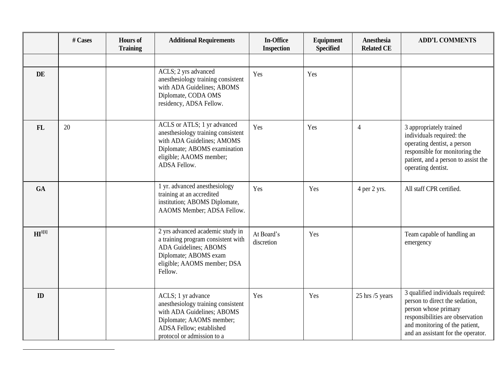|                     | # Cases | <b>Hours of</b><br><b>Training</b> | <b>Additional Requirements</b>                                                                                                                                               | <b>In-Office</b><br><b>Inspection</b> | Equipment<br><b>Specified</b> | Anesthesia<br><b>Related CE</b> | <b>ADD'L COMMENTS</b>                                                                                                                                                                                   |
|---------------------|---------|------------------------------------|------------------------------------------------------------------------------------------------------------------------------------------------------------------------------|---------------------------------------|-------------------------------|---------------------------------|---------------------------------------------------------------------------------------------------------------------------------------------------------------------------------------------------------|
|                     |         |                                    |                                                                                                                                                                              |                                       |                               |                                 |                                                                                                                                                                                                         |
| DE                  |         |                                    | ACLS; 2 yrs advanced<br>anesthesiology training consistent<br>with ADA Guidelines; ABOMS<br>Diplomate, CODA OMS<br>residency, ADSA Fellow.                                   | Yes                                   | Yes                           |                                 |                                                                                                                                                                                                         |
| <b>FL</b>           | 20      |                                    | ACLS or ATLS; 1 yr advanced<br>anesthesiology training consistent<br>with ADA Guidelines; AMOMS<br>Diplomate; ABOMS examination<br>eligible; AAOMS member;<br>ADSA Fellow.   | Yes                                   | Yes                           | $\overline{4}$                  | 3 appropriately trained<br>individuals required: the<br>operating dentist, a person<br>responsible for monitoring the<br>patient, and a person to assist the<br>operating dentist.                      |
| <b>GA</b>           |         |                                    | 1 yr. advanced anesthesiology<br>training at an accredited<br>institution; ABOMS Diplomate,<br>AAOMS Member; ADSA Fellow.                                                    | Yes                                   | Yes                           | 4 per 2 yrs.                    | All staff CPR certified.                                                                                                                                                                                |
| $\mathbf{H}^{1[1]}$ |         |                                    | 2 yrs advanced academic study in<br>a training program consistent with<br><b>ADA Guidelines; ABOMS</b><br>Diplomate; ABOMS exam<br>eligible; AAOMS member; DSA<br>Fellow.    | At Board's<br>discretion              | Yes                           |                                 | Team capable of handling an<br>emergency                                                                                                                                                                |
| ID                  |         |                                    | ACLS; 1 yr advance<br>anesthesiology training consistent<br>with ADA Guidelines; ABOMS<br>Diplomate; AAOMS member;<br>ADSA Fellow; established<br>protocol or admission to a | Yes                                   | Yes                           | 25 hrs /5 years                 | 3 qualified individuals required:<br>person to direct the sedation,<br>person whose primary<br>responsibilities are observation<br>and monitoring of the patient,<br>and an assistant for the operator. |

 $\overline{a}$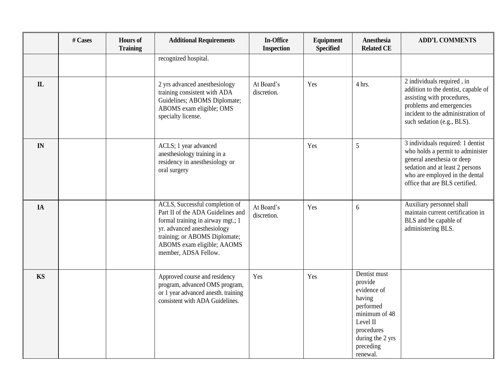|              | # Cases | <b>Hours of</b><br><b>Training</b> | <b>Additional Requirements</b>                                                                                                                                                                                                 | <b>In-Office</b><br><b>Inspection</b> | <b>Equipment</b><br><b>Specified</b> | Anesthesia<br><b>Related CE</b>                                                                                                                       | <b>ADD'L COMMENTS</b>                                                                                                                                                                                      |
|--------------|---------|------------------------------------|--------------------------------------------------------------------------------------------------------------------------------------------------------------------------------------------------------------------------------|---------------------------------------|--------------------------------------|-------------------------------------------------------------------------------------------------------------------------------------------------------|------------------------------------------------------------------------------------------------------------------------------------------------------------------------------------------------------------|
|              |         |                                    | recognized hospital.                                                                                                                                                                                                           |                                       |                                      |                                                                                                                                                       |                                                                                                                                                                                                            |
| $\mathbf{L}$ |         |                                    | 2 yrs advanced anesthesiology<br>training consistent with ADA<br>Guidelines; ABOMS Diplomate;<br>ABOMS exam eligible; OMS<br>specialty license.                                                                                | At Board's<br>discretion.             | Yes                                  | 4 hrs.                                                                                                                                                | 2 individuals required, in<br>addition to the dentist, capable of<br>assisting with procedures,<br>problems and emergencies<br>incident to the administration of<br>such sedation (e.g., BLS).             |
| IN           |         |                                    | ACLS; 1 year advanced<br>anesthesiology training in a<br>residency in anesthesiology or<br>oral surgery                                                                                                                        |                                       | Yes                                  | 5                                                                                                                                                     | 3 individuals required: 1 dentist<br>who holds a permit to administer<br>general anesthesia or deep<br>sedation and at least 2 persons<br>who are employed in the dental<br>office that are BLS certified. |
| IA           |         |                                    | ACLS, Successful completion of<br>Part II of the ADA Guidelines and<br>formal training in airway mgt.; 1<br>yr. advanced anesthesiology<br>training; or ABOMS Diplomate;<br>ABOMS exam eligible; AAOMS<br>member, ADSA Fellow. | At Board's<br>discretion.             | Yes                                  | 6                                                                                                                                                     | Auxiliary personnel shall<br>maintain current certification in<br>BLS and be capable of<br>administering BLS.                                                                                              |
| KS           |         |                                    | Approved course and residency<br>program, advanced OMS program,<br>or 1 year advanced anesth. training<br>consistent with ADA Guidelines.                                                                                      | Yes                                   | Yes                                  | Dentist must<br>provide<br>evidence of<br>having<br>performed<br>minimum of 48<br>Level II<br>procedures<br>during the 2 yrs<br>preceding<br>renewal. |                                                                                                                                                                                                            |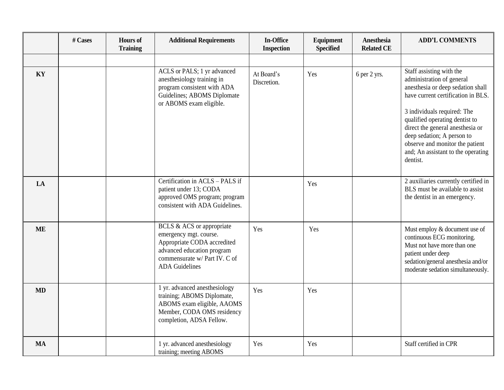|           | # Cases | <b>Hours</b> of<br><b>Training</b> | <b>Additional Requirements</b>                                                                                                                                             | <b>In-Office</b><br><b>Inspection</b> | Equipment<br><b>Specified</b> | <b>Anesthesia</b><br><b>Related CE</b> | <b>ADD'L COMMENTS</b>                                                                                                                                                                                                                                                                                                                                    |
|-----------|---------|------------------------------------|----------------------------------------------------------------------------------------------------------------------------------------------------------------------------|---------------------------------------|-------------------------------|----------------------------------------|----------------------------------------------------------------------------------------------------------------------------------------------------------------------------------------------------------------------------------------------------------------------------------------------------------------------------------------------------------|
|           |         |                                    |                                                                                                                                                                            |                                       |                               |                                        |                                                                                                                                                                                                                                                                                                                                                          |
| KY        |         |                                    | ACLS or PALS; 1 yr advanced<br>anesthesiology training in<br>program consistent with ADA<br>Guidelines; ABOMS Diplomate<br>or ABOMS exam eligible.                         | At Board's<br>Discretion.             | Yes                           | 6 per 2 yrs.                           | Staff assisting with the<br>administration of general<br>anesthesia or deep sedation shall<br>have current certification in BLS.<br>3 individuals required: The<br>qualified operating dentist to<br>direct the general anesthesia or<br>deep sedation; A person to<br>observe and monitor the patient<br>and; An assistant to the operating<br>dentist. |
| LA        |         |                                    | Certification in ACLS - PALS if<br>patient under 13; CODA<br>approved OMS program; program<br>consistent with ADA Guidelines.                                              |                                       | Yes                           |                                        | 2 auxiliaries currently certified in<br>BLS must be available to assist<br>the dentist in an emergency.                                                                                                                                                                                                                                                  |
| <b>ME</b> |         |                                    | BCLS & ACS or appropriate<br>emergency mgt. course.<br>Appropriate CODA accredited<br>advanced education program<br>commensurate w/ Part IV. C of<br><b>ADA</b> Guidelines | Yes                                   | Yes                           |                                        | Must employ & document use of<br>continuous ECG monitoring.<br>Must not have more than one<br>patient under deep<br>sedation/general anesthesia and/or<br>moderate sedation simultaneously.                                                                                                                                                              |
| <b>MD</b> |         |                                    | 1 yr. advanced anesthesiology<br>training; ABOMS Diplomate,<br>ABOMS exam eligible, AAOMS<br>Member, CODA OMS residency<br>completion, ADSA Fellow.                        | Yes                                   | Yes                           |                                        |                                                                                                                                                                                                                                                                                                                                                          |
| <b>MA</b> |         |                                    | 1 yr. advanced anesthesiology<br>training; meeting ABOMS                                                                                                                   | Yes                                   | Yes                           |                                        | Staff certified in CPR                                                                                                                                                                                                                                                                                                                                   |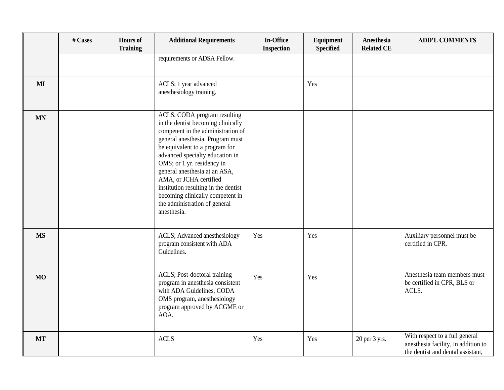|           | # Cases | <b>Hours</b> of<br><b>Training</b> | <b>Additional Requirements</b>                                                                                                                                                                                                                                                                                                                                                                                                         | <b>In-Office</b><br><b>Inspection</b> | Equipment<br><b>Specified</b> | <b>Anesthesia</b><br><b>Related CE</b> | <b>ADD'L COMMENTS</b>                                                                                      |
|-----------|---------|------------------------------------|----------------------------------------------------------------------------------------------------------------------------------------------------------------------------------------------------------------------------------------------------------------------------------------------------------------------------------------------------------------------------------------------------------------------------------------|---------------------------------------|-------------------------------|----------------------------------------|------------------------------------------------------------------------------------------------------------|
|           |         |                                    | requirements or ADSA Fellow.                                                                                                                                                                                                                                                                                                                                                                                                           |                                       |                               |                                        |                                                                                                            |
| MI        |         |                                    | ACLS; 1 year advanced<br>anesthesiology training.                                                                                                                                                                                                                                                                                                                                                                                      |                                       | Yes                           |                                        |                                                                                                            |
| <b>MN</b> |         |                                    | ACLS; CODA program resulting<br>in the dentist becoming clinically<br>competent in the administration of<br>general anesthesia. Program must<br>be equivalent to a program for<br>advanced specialty education in<br>OMS; or 1 yr. residency in<br>general anesthesia at an ASA,<br>AMA, or JCHA certified<br>institution resulting in the dentist<br>becoming clinically competent in<br>the administration of general<br>anesthesia. |                                       |                               |                                        |                                                                                                            |
| <b>MS</b> |         |                                    | ACLS; Advanced anesthesiology<br>program consistent with ADA<br>Guidelines.                                                                                                                                                                                                                                                                                                                                                            | Yes                                   | Yes                           |                                        | Auxiliary personnel must be<br>certified in CPR.                                                           |
| <b>MO</b> |         |                                    | ACLS; Post-doctoral training<br>program in anesthesia consistent<br>with ADA Guidelines, CODA<br>OMS program, anesthesiology<br>program approved by ACGME or<br>AOA.                                                                                                                                                                                                                                                                   | Yes                                   | Yes                           |                                        | Anesthesia team members must<br>be certified in CPR, BLS or<br>ACLS.                                       |
| <b>MT</b> |         |                                    | <b>ACLS</b>                                                                                                                                                                                                                                                                                                                                                                                                                            | Yes                                   | Yes                           | 20 per 3 yrs.                          | With respect to a full general<br>anesthesia facility, in addition to<br>the dentist and dental assistant, |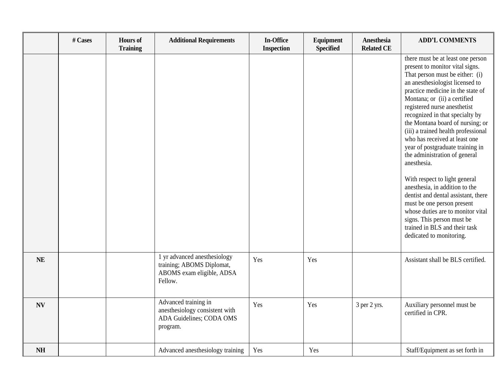|           | # Cases | <b>Hours</b> of<br><b>Training</b> | <b>Additional Requirements</b>                                                                    | <b>In-Office</b><br><b>Inspection</b> | Equipment<br><b>Specified</b> | Anesthesia<br><b>Related CE</b> | <b>ADD'L COMMENTS</b>                                                                                                                                                                                                                                                                                                                                                                                                                                                                                                                                                                                                                                                                                                                                      |
|-----------|---------|------------------------------------|---------------------------------------------------------------------------------------------------|---------------------------------------|-------------------------------|---------------------------------|------------------------------------------------------------------------------------------------------------------------------------------------------------------------------------------------------------------------------------------------------------------------------------------------------------------------------------------------------------------------------------------------------------------------------------------------------------------------------------------------------------------------------------------------------------------------------------------------------------------------------------------------------------------------------------------------------------------------------------------------------------|
|           |         |                                    |                                                                                                   |                                       |                               |                                 | there must be at least one person<br>present to monitor vital signs.<br>That person must be either: (i)<br>an anesthesiologist licensed to<br>practice medicine in the state of<br>Montana; or (ii) a certified<br>registered nurse anesthetist<br>recognized in that specialty by<br>the Montana board of nursing; or<br>(iii) a trained health professional<br>who has received at least one<br>year of postgraduate training in<br>the administration of general<br>anesthesia.<br>With respect to light general<br>anesthesia, in addition to the<br>dentist and dental assistant, there<br>must be one person present<br>whose duties are to monitor vital<br>signs. This person must be<br>trained in BLS and their task<br>dedicated to monitoring. |
| <b>NE</b> |         |                                    | 1 yr advanced anesthesiology<br>training; ABOMS Diplomat,<br>ABOMS exam eligible, ADSA<br>Fellow. | Yes                                   | Yes                           |                                 | Assistant shall be BLS certified.                                                                                                                                                                                                                                                                                                                                                                                                                                                                                                                                                                                                                                                                                                                          |
| <b>NV</b> |         |                                    | Advanced training in<br>anesthesiology consistent with<br>ADA Guidelines; CODA OMS<br>program.    | Yes                                   | Yes                           | 3 per 2 yrs.                    | Auxiliary personnel must be<br>certified in CPR.                                                                                                                                                                                                                                                                                                                                                                                                                                                                                                                                                                                                                                                                                                           |
| <b>NH</b> |         |                                    | Advanced anesthesiology training                                                                  | Yes                                   | Yes                           |                                 | Staff/Equipment as set forth in                                                                                                                                                                                                                                                                                                                                                                                                                                                                                                                                                                                                                                                                                                                            |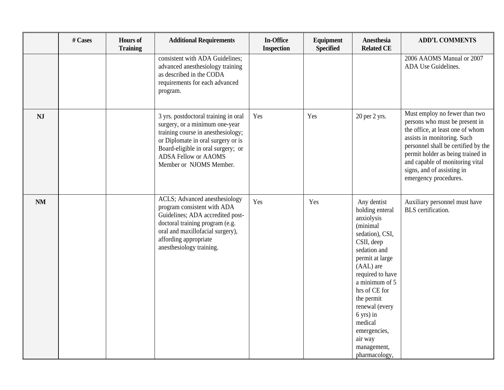|           | # Cases | <b>Hours</b> of<br><b>Training</b> | <b>Additional Requirements</b>                                                                                                                                                                                                                     | In-Office<br><b>Inspection</b> | Equipment<br><b>Specified</b> | Anesthesia<br><b>Related CE</b>                                                                                                                                                                                                                                                                                                | <b>ADD'L COMMENTS</b>                                                                                                                                                                                                                                                                                    |
|-----------|---------|------------------------------------|----------------------------------------------------------------------------------------------------------------------------------------------------------------------------------------------------------------------------------------------------|--------------------------------|-------------------------------|--------------------------------------------------------------------------------------------------------------------------------------------------------------------------------------------------------------------------------------------------------------------------------------------------------------------------------|----------------------------------------------------------------------------------------------------------------------------------------------------------------------------------------------------------------------------------------------------------------------------------------------------------|
|           |         |                                    | consistent with ADA Guidelines;<br>advanced anesthesiology training<br>as described in the CODA<br>requirements for each advanced<br>program.                                                                                                      |                                |                               |                                                                                                                                                                                                                                                                                                                                | 2006 AAOMS Manual or 2007<br>ADA Use Guidelines.                                                                                                                                                                                                                                                         |
| <b>NJ</b> |         |                                    | 3 yrs. postdoctoral training in oral<br>surgery, or a minimum one-year<br>training course in anesthesiology;<br>or Diplomate in oral surgery or is<br>Board-eligible in oral surgery; or<br><b>ADSA Fellow or AAOMS</b><br>Member or NJOMS Member. | Yes                            | Yes                           | 20 per 2 yrs.                                                                                                                                                                                                                                                                                                                  | Must employ no fewer than two<br>persons who must be present in<br>the office, at least one of whom<br>assists in monitoring. Such<br>personnel shall be certified by the<br>permit holder as being trained in<br>and capable of monitoring vital<br>signs, and of assisting in<br>emergency procedures. |
| <b>NM</b> |         |                                    | ACLS; Advanced anesthesiology<br>program consistent with ADA<br>Guidelines; ADA accredited post-<br>doctoral training program (e.g.<br>oral and maxillofacial surgery),<br>affording appropriate<br>anesthesiology training.                       | Yes                            | Yes                           | Any dentist<br>holding enteral<br>anxiolysis<br>(minimal<br>sedation), CSI,<br>CSII, deep<br>sedation and<br>permit at large<br>(AAL) are<br>required to have<br>a minimum of 5<br>hrs of CE for<br>the permit<br>renewal (every<br>$6 \text{ yrs}$ ) in<br>medical<br>emergencies,<br>air way<br>management,<br>pharmacology, | Auxiliary personnel must have<br>BLS certification.                                                                                                                                                                                                                                                      |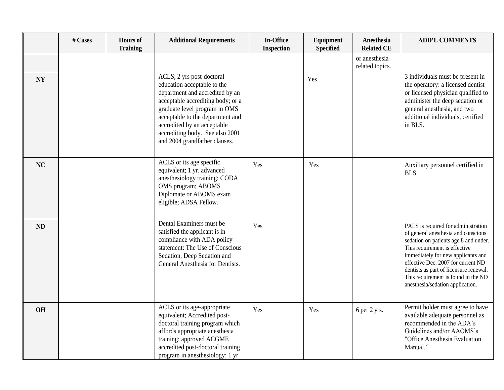|           | # Cases | <b>Hours</b> of<br><b>Training</b> | <b>Additional Requirements</b>                                                                                                                                                                                                                                                                           | <b>In-Office</b><br><b>Inspection</b> | Equipment<br><b>Specified</b> | Anesthesia<br><b>Related CE</b>  | <b>ADD'L COMMENTS</b>                                                                                                                                                                                                                                                                                                                                 |
|-----------|---------|------------------------------------|----------------------------------------------------------------------------------------------------------------------------------------------------------------------------------------------------------------------------------------------------------------------------------------------------------|---------------------------------------|-------------------------------|----------------------------------|-------------------------------------------------------------------------------------------------------------------------------------------------------------------------------------------------------------------------------------------------------------------------------------------------------------------------------------------------------|
|           |         |                                    |                                                                                                                                                                                                                                                                                                          |                                       |                               | or anesthesia<br>related topics. |                                                                                                                                                                                                                                                                                                                                                       |
| <b>NY</b> |         |                                    | ACLS; 2 yrs post-doctoral<br>education acceptable to the<br>department and accredited by an<br>acceptable accrediting body; or a<br>graduate level program in OMS<br>acceptable to the department and<br>accredited by an acceptable<br>accrediting body. See also 2001<br>and 2004 grandfather clauses. |                                       | Yes                           |                                  | 3 individuals must be present in<br>the operatory: a licensed dentist<br>or licensed physician qualified to<br>administer the deep sedation or<br>general anesthesia, and two<br>additional individuals, certified<br>in BLS.                                                                                                                         |
| NC        |         |                                    | ACLS or its age specific<br>equivalent; 1 yr. advanced<br>anesthesiology training; CODA<br>OMS program; ABOMS<br>Diplomate or ABOMS exam<br>eligible; ADSA Fellow.                                                                                                                                       | Yes                                   | Yes                           |                                  | Auxiliary personnel certified in<br>BLS.                                                                                                                                                                                                                                                                                                              |
| ND        |         |                                    | Dental Examiners must be<br>satisfied the applicant is in<br>compliance with ADA policy<br>statement: The Use of Conscious<br>Sedation, Deep Sedation and<br>General Anesthesia for Dentists.                                                                                                            | Yes                                   |                               |                                  | PALS is required for administration<br>of general anesthesia and conscious<br>sedation on patients age 8 and under.<br>This requirement is effective<br>immediately for new applicants and<br>effective Dec. 2007 for current ND<br>dentists as part of licensure renewal.<br>This requirement is found in the ND<br>anesthesia/sedation application. |
| <b>OH</b> |         |                                    | ACLS or its age-appropriate<br>equivalent; Accredited post-<br>doctoral training program which<br>affords appropriate anesthesia<br>training; approved ACGME<br>accredited post-doctoral training<br>program in anesthesiology; 1 yr                                                                     | Yes                                   | Yes                           | 6 per 2 yrs.                     | Permit holder must agree to have<br>available adequate personnel as<br>recommended in the ADA's<br>Guidelines and/or AAOMS's<br>"Office Anesthesia Evaluation<br>Manual."                                                                                                                                                                             |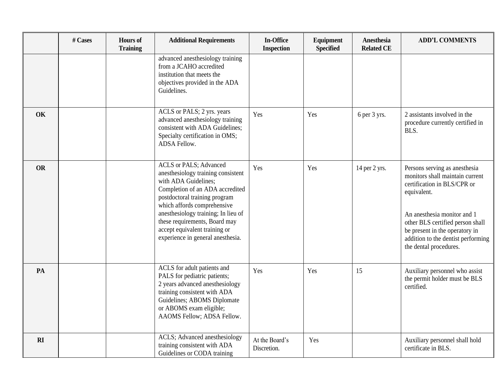|           | # Cases | <b>Hours</b> of<br><b>Training</b> | <b>Additional Requirements</b>                                                                                                                                                                                                                                                                                                               | <b>In-Office</b><br><b>Inspection</b> | Equipment<br><b>Specified</b> | Anesthesia<br><b>Related CE</b> | <b>ADD'L COMMENTS</b>                                                                                                                                                                                                                                                               |
|-----------|---------|------------------------------------|----------------------------------------------------------------------------------------------------------------------------------------------------------------------------------------------------------------------------------------------------------------------------------------------------------------------------------------------|---------------------------------------|-------------------------------|---------------------------------|-------------------------------------------------------------------------------------------------------------------------------------------------------------------------------------------------------------------------------------------------------------------------------------|
|           |         |                                    | advanced anesthesiology training<br>from a JCAHO accredited<br>institution that meets the<br>objectives provided in the ADA<br>Guidelines.                                                                                                                                                                                                   |                                       |                               |                                 |                                                                                                                                                                                                                                                                                     |
| OK        |         |                                    | ACLS or PALS; 2 yrs. years<br>advanced anesthesiology training<br>consistent with ADA Guidelines;<br>Specialty certification in OMS;<br>ADSA Fellow.                                                                                                                                                                                         | Yes                                   | Yes                           | 6 per 3 yrs.                    | 2 assistants involved in the<br>procedure currently certified in<br>BLS.                                                                                                                                                                                                            |
| <b>OR</b> |         |                                    | <b>ACLS</b> or PALS; Advanced<br>anesthesiology training consistent<br>with ADA Guidelines;<br>Completion of an ADA accredited<br>postdoctoral training program<br>which affords comprehensive<br>anesthesiology training; In lieu of<br>these requirements, Board may<br>accept equivalent training or<br>experience in general anesthesia. | Yes                                   | Yes                           | 14 per 2 yrs.                   | Persons serving as anesthesia<br>monitors shall maintain current<br>certification in BLS/CPR or<br>equivalent.<br>An anesthesia monitor and 1<br>other BLS certified person shall<br>be present in the operatory in<br>addition to the dentist performing<br>the dental procedures. |
| PA        |         |                                    | ACLS for adult patients and<br>PALS for pediatric patients;<br>2 years advanced anesthesiology<br>training consistent with ADA<br>Guidelines; ABOMS Diplomate<br>or ABOMS exam eligible;<br>AAOMS Fellow; ADSA Fellow.                                                                                                                       | Yes                                   | Yes                           | 15                              | Auxiliary personnel who assist<br>the permit holder must be BLS<br>certified.                                                                                                                                                                                                       |
| RI        |         |                                    | ACLS; Advanced anesthesiology<br>training consistent with ADA<br>Guidelines or CODA training                                                                                                                                                                                                                                                 | At the Board's<br>Discretion.         | Yes                           |                                 | Auxiliary personnel shall hold<br>certificate in BLS.                                                                                                                                                                                                                               |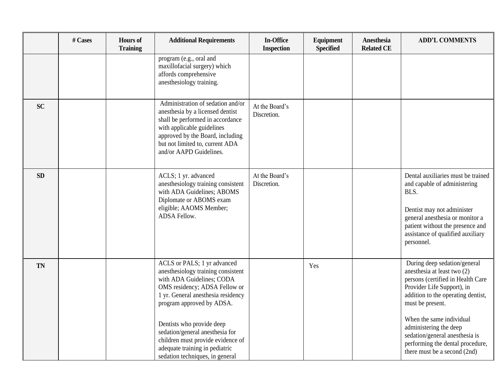|           | # Cases | <b>Hours</b> of<br><b>Training</b> | <b>Additional Requirements</b>                                                                                                                                                                                                                                                                                                            | In-Office<br><b>Inspection</b> | Equipment<br><b>Specified</b> | Anesthesia<br><b>Related CE</b> | <b>ADD'L COMMENTS</b>                                                                                                                                                                                                                                                                                                                                |
|-----------|---------|------------------------------------|-------------------------------------------------------------------------------------------------------------------------------------------------------------------------------------------------------------------------------------------------------------------------------------------------------------------------------------------|--------------------------------|-------------------------------|---------------------------------|------------------------------------------------------------------------------------------------------------------------------------------------------------------------------------------------------------------------------------------------------------------------------------------------------------------------------------------------------|
|           |         |                                    | program (e.g., oral and<br>maxillofacial surgery) which<br>affords comprehensive<br>anesthesiology training.                                                                                                                                                                                                                              |                                |                               |                                 |                                                                                                                                                                                                                                                                                                                                                      |
| <b>SC</b> |         |                                    | Administration of sedation and/or<br>anesthesia by a licensed dentist<br>shall be performed in accordance<br>with applicable guidelines<br>approved by the Board, including<br>but not limited to, current ADA<br>and/or AAPD Guidelines.                                                                                                 | At the Board's<br>Discretion.  |                               |                                 |                                                                                                                                                                                                                                                                                                                                                      |
| SD        |         |                                    | ACLS; 1 yr. advanced<br>anesthesiology training consistent<br>with ADA Guidelines; ABOMS<br>Diplomate or ABOMS exam<br>eligible; AAOMS Member;<br>ADSA Fellow.                                                                                                                                                                            | At the Board's<br>Discretion.  |                               |                                 | Dental auxiliaries must be trained<br>and capable of administering<br>BLS.<br>Dentist may not administer<br>general anesthesia or monitor a<br>patient without the presence and<br>assistance of qualified auxiliary<br>personnel.                                                                                                                   |
| <b>TN</b> |         |                                    | ACLS or PALS; 1 yr advanced<br>anesthesiology training consistent<br>with ADA Guidelines; CODA<br>OMS residency; ADSA Fellow or<br>1 yr. General anesthesia residency<br>program approved by ADSA.<br>Dentists who provide deep<br>sedation/general anesthesia for<br>children must provide evidence of<br>adequate training in pediatric |                                | Yes                           |                                 | During deep sedation/general<br>anesthesia at least two (2)<br>persons (certified in Health Care<br>Provider Life Support), in<br>addition to the operating dentist,<br>must be present.<br>When the same individual<br>administering the deep<br>sedation/general anesthesia is<br>performing the dental procedure,<br>there must be a second (2nd) |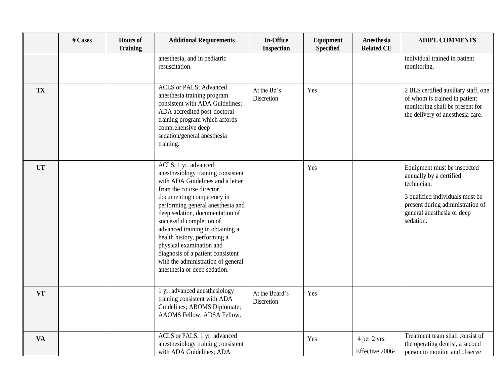|           | # Cases | <b>Hours</b> of<br><b>Training</b> | <b>Additional Requirements</b>                                                                                                                                                                                                                                                                                                                                                                                                                                         | <b>In-Office</b><br><b>Inspection</b> | Equipment<br><b>Specified</b> | Anesthesia<br><b>Related CE</b> | <b>ADD'L COMMENTS</b>                                                                                                                                                                   |
|-----------|---------|------------------------------------|------------------------------------------------------------------------------------------------------------------------------------------------------------------------------------------------------------------------------------------------------------------------------------------------------------------------------------------------------------------------------------------------------------------------------------------------------------------------|---------------------------------------|-------------------------------|---------------------------------|-----------------------------------------------------------------------------------------------------------------------------------------------------------------------------------------|
|           |         |                                    | anesthesia, and in pediatric<br>resuscitation.                                                                                                                                                                                                                                                                                                                                                                                                                         |                                       |                               |                                 | individual trained in patient<br>monitoring.                                                                                                                                            |
| <b>TX</b> |         |                                    | ACLS or PALS; Advanced<br>anesthesia training program<br>consistent with ADA Guidelines;<br>ADA accredited post-doctoral<br>training program which affords<br>comprehensive deep<br>sedation/general anesthesia<br>training.                                                                                                                                                                                                                                           | At the Bd's<br>Discretion             | Yes                           |                                 | 2 BLS certified auxiliary staff, one<br>of whom is trained in patient<br>monitoring shall be present for<br>the delivery of anesthesia care.                                            |
| <b>UT</b> |         |                                    | ACLS; 1 yr. advanced<br>anesthesiology training consistent<br>with ADA Guidelines and a letter<br>from the course director<br>documenting competency in<br>performing general anesthesia and<br>deep sedation, documentation of<br>successful completion of<br>advanced training in obtaining a<br>health history, performing a<br>physical examination and<br>diagnosis of a patient consistent<br>with the administration of general<br>anesthesia or deep sedation. |                                       | Yes                           |                                 | Equipment must be inspected<br>annually by a certified<br>technician.<br>3 qualified individuals must be<br>present during administration of<br>general anesthesia or deep<br>sedation. |
| <b>VT</b> |         |                                    | 1 yr. advanced anesthesiology<br>training consistent with ADA<br>Guidelines; ABOMS Diplomate;<br>AAOMS Fellow; ADSA Fellow.                                                                                                                                                                                                                                                                                                                                            | At the Board's<br>Discretion          | Yes                           |                                 |                                                                                                                                                                                         |
| <b>VA</b> |         |                                    | ACLS or PALS; 1 yr. advanced<br>anesthesiology training consistent<br>with ADA Guidelines; ADA                                                                                                                                                                                                                                                                                                                                                                         |                                       | Yes                           | 4 per 2 yrs.<br>Effective 2006- | Treatment team shall consist of<br>the operating dentist, a second<br>person to monitor and observe                                                                                     |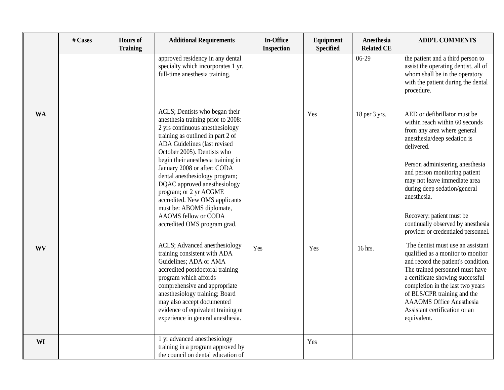|           | # Cases | <b>Hours</b> of<br><b>Training</b> | <b>Additional Requirements</b>                                                                                                                                                                                                                                                                                                                                                                                                                                                                      | <b>In-Office</b><br><b>Inspection</b> | Equipment<br><b>Specified</b> | Anesthesia<br><b>Related CE</b> | <b>ADD'L COMMENTS</b>                                                                                                                                                                                                                                                                                                                                                                                   |
|-----------|---------|------------------------------------|-----------------------------------------------------------------------------------------------------------------------------------------------------------------------------------------------------------------------------------------------------------------------------------------------------------------------------------------------------------------------------------------------------------------------------------------------------------------------------------------------------|---------------------------------------|-------------------------------|---------------------------------|---------------------------------------------------------------------------------------------------------------------------------------------------------------------------------------------------------------------------------------------------------------------------------------------------------------------------------------------------------------------------------------------------------|
|           |         |                                    | approved residency in any dental<br>specialty which incorporates 1 yr.<br>full-time anesthesia training.                                                                                                                                                                                                                                                                                                                                                                                            |                                       |                               | 06-29                           | the patient and a third person to<br>assist the operating dentist, all of<br>whom shall be in the operatory<br>with the patient during the dental<br>procedure.                                                                                                                                                                                                                                         |
| <b>WA</b> |         |                                    | ACLS; Dentists who began their<br>anesthesia training prior to 2008:<br>2 yrs continuous anesthesiology<br>training as outlined in part 2 of<br>ADA Guidelines (last revised<br>October 2005). Dentists who<br>begin their anesthesia training in<br>January 2008 or after: CODA<br>dental anesthesiology program;<br>DQAC approved anesthesiology<br>program; or 2 yr ACGME<br>accredited. New OMS applicants<br>must be: ABOMS diplomate,<br>AAOMS fellow or CODA<br>accredited OMS program grad. |                                       | Yes                           | 18 per 3 yrs.                   | AED or defibrillator must be<br>within reach within 60 seconds<br>from any area where general<br>anesthesia/deep sedation is<br>delivered.<br>Person administering anesthesia<br>and person monitoring patient<br>may not leave immediate area<br>during deep sedation/general<br>anesthesia.<br>Recovery: patient must be<br>continually observed by anesthesia<br>provider or credentialed personnel. |
| <b>WV</b> |         |                                    | ACLS; Advanced anesthesiology<br>training consistent with ADA<br>Guidelines; ADA or AMA<br>accredited postdoctoral training<br>program which affords<br>comprehensive and appropriate<br>anesthesiology training; Board<br>may also accept documented<br>evidence of equivalent training or<br>experience in general anesthesia.                                                                                                                                                                    | Yes                                   | Yes                           | 16 hrs.                         | The dentist must use an assistant<br>qualified as a monitor to monitor<br>and record the patient's condition.<br>The trained personnel must have<br>a certificate showing successful<br>completion in the last two years<br>of BLS/CPR training and the<br><b>AAAOMS</b> Office Anesthesia<br>Assistant certification or an<br>equivalent.                                                              |
| WI        |         |                                    | 1 yr advanced anesthesiology<br>training in a program approved by<br>the council on dental education of                                                                                                                                                                                                                                                                                                                                                                                             |                                       | Yes                           |                                 |                                                                                                                                                                                                                                                                                                                                                                                                         |